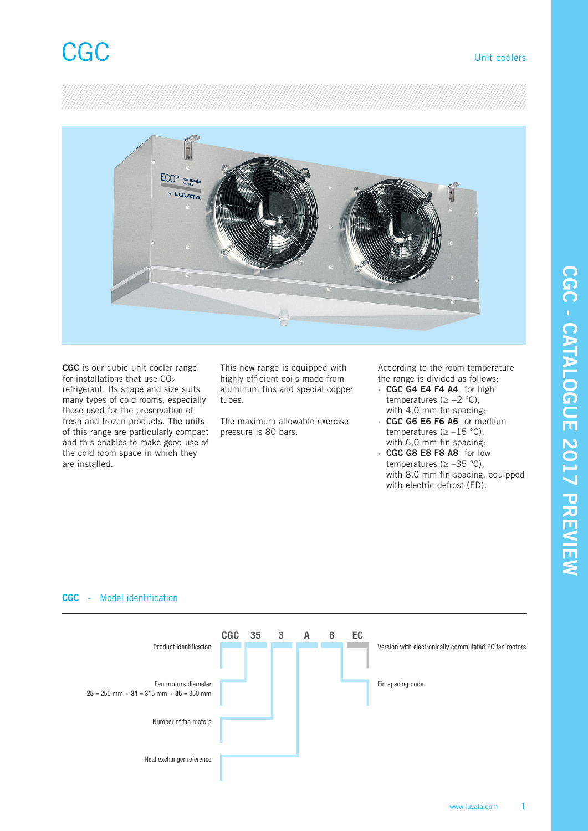

**CGC** is our cubic unit cooler range for installations that use  $CO<sub>2</sub>$ refrigerant. Its shape and size suits many types of cold rooms, especially those used for the preservation of fresh and frozen products. The units of this range are particularly compact and this enables to make good use of the cold room space in which they are installed.

This new range is equipped with highly efficient coils made from aluminum fins and special copper tubes.

The maximum allowable exercise pressure is 80 bars.

According to the room temperature the range is divided as follows:

- **CGC G4 E4 F4 A4** for high temperatures ( $\geq +2$  °C), with 4,0 mm fin spacing;
- **CGC G6 E6 F6 A6** or medium temperatures ( $\ge -15$  °C), with 6,0 mm fin spacing;
- **CGC G8 E8 F8 A8** for low temperatures ( $\geq -35$  °C), with 8,0 mm fin spacing, equipped with electric defrost (ED).



# **CGC** - Model identification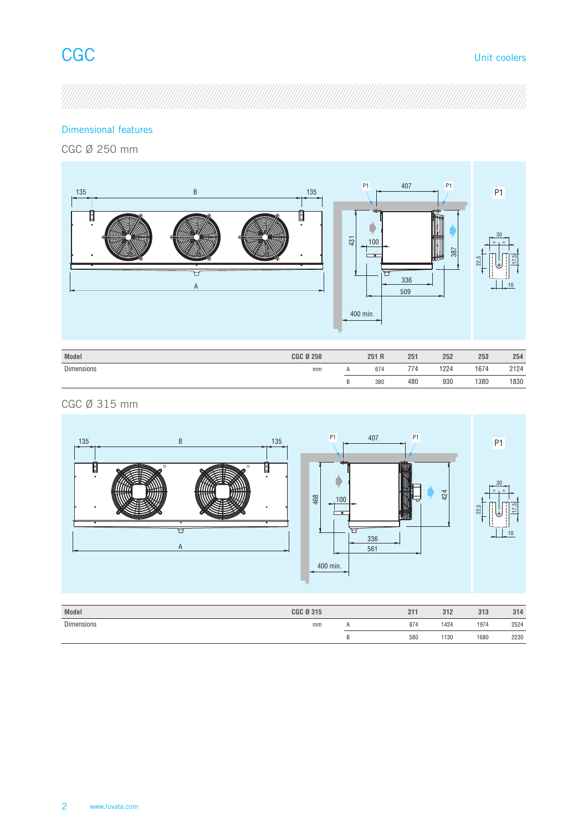

# Dimensional features

CGC Ø 250 mm



| <b>Dimensions</b> | mm | . . | 674 | 774 | 1224 | 1674 | 2124 |
|-------------------|----|-----|-----|-----|------|------|------|
|                   |    |     | 380 | 480 | 930  | 1380 | 1830 |
|                   |    |     |     |     |      |      |      |

# CGC Ø 315 mm

 $\overline{\phantom{a}}$ 



| Model             | <b>CGC Ø 315</b> | 311 | 312  | 313  | 314  |
|-------------------|------------------|-----|------|------|------|
| <b>Dimensions</b> | mm               | 874 | 1424 | 1974 | 2524 |
|                   |                  | 580 | 1130 | 1680 | 2230 |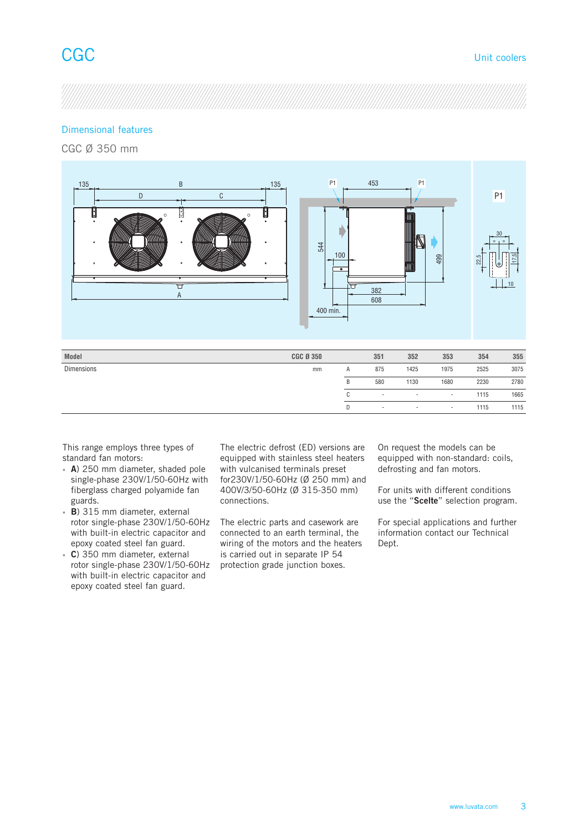## Dimensional features

CGC Ø 350 mm



| This range employs three types of |  |
|-----------------------------------|--|
| standard fan motors:              |  |

- **A**) 250 mm diameter, shaded pole single-phase 230V/1/50-60Hz with fiberglass charged polyamide fan guards.
- **B**) 315 mm diameter, external rotor single-phase 230V/1/50-60Hz with built-in electric capacitor and epoxy coated steel fan guard.
- **C**) 350 mm diameter, external rotor single-phase 230V/1/50-60Hz with built-in electric capacitor and epoxy coated steel fan guard.

The electric defrost (ED) versions are equipped with stainless steel heaters with vulcanised terminals preset for230V/1/50-60Hz (Ø 250 mm) and 400V/3/50-60Hz (Ø 315-350 mm) connections.

The electric parts and casework are connected to an earth terminal, the wiring of the motors and the heaters is carried out in separate IP 54 protection grade junction boxes.

On request the models can be equipped with non-standard: coils, defrosting and fan motors.

C - - - - 1115 1665 D - - - - 1115 1115

> For units with different conditions use the "**Scelte**" selection program.

> For special applications and further information contact our Technical Dept.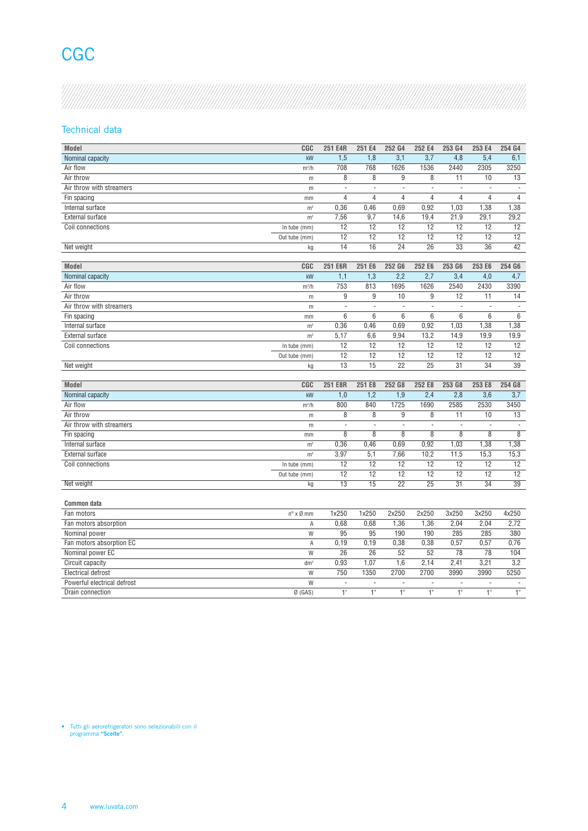# **CGC**

## Technical data

| Model                       | CGC                             | 251 E4R 251 E4 252 G4 252 E4 253 G4 |                |                 |                |                | 253 E4 254 G4  |                |
|-----------------------------|---------------------------------|-------------------------------------|----------------|-----------------|----------------|----------------|----------------|----------------|
| Nominal capacity            | kW                              | 1,5                                 | 1,8            | 3,1             | 3,7            | 4.8            | 5,4            | 6,1            |
| Air flow                    | m <sup>3</sup> /h               | 708                                 | 768            | 1626            | 1536           | 2440           | 2305           | 3250           |
| Air throw                   | m                               | - 8                                 | 8              | -9              | 8              | 11             | 10             | 13             |
| Air throw with streamers    | m                               | $\sim$                              | $\sim$         | $\sim$          | $\sim$         | $\sim$         | $\sim$         | $\sim$         |
| Fin spacing                 | mm                              | $\overline{4}$                      | $\overline{4}$ | $\overline{4}$  | $\overline{4}$ | $\overline{4}$ | $\overline{4}$ | $\overline{4}$ |
| Internal surface            | m <sup>2</sup>                  | 0,36                                | 0,46           | 0,69            | 0,92           | 1,03           | 1,38           | 1,38           |
| External surface            | m <sup>2</sup>                  | 7,56                                | 9,7            | 14,6            | 19,4           | 21,9           | 29,1           | 29,2           |
| Coil connections            | In tube (mm)                    | 12                                  | 12             | 12              | 12             | 12             | 12             | 12             |
|                             | Out tube (mm)                   | 12                                  | 12             | 12              | 12             | 12             | 12             | 12             |
| Net weight                  | ka                              | 14                                  | 16             | 24              | 26             | 33             | 36             | 42             |
|                             |                                 |                                     |                |                 |                |                |                |                |
|                             |                                 |                                     |                |                 |                |                |                |                |
| Model                       | CGC                             | 251 E6R                             |                | 251 E6 252 G6   | 252 E6         | 253 G6         | 253 E6         | 254 G6         |
| Nominal capacity            | kW                              | 1.1                                 | 1,3            | 2,2             | 2,7            | 3.4            | 4,0            | 4,7            |
| Air flow                    | $m^3/h$                         | 753                                 | 813            | 1695            | 1626           | 2540           | 2430           | 3390           |
| Air throw                   | m                               | -9                                  | $\mathsf{q}$   | 10              | g              | 12             | 11             | 14             |
| Air throw with streamers    | m                               | $\sim$                              | $\sim$ $-$     | $\sim$          | $\sim$         | $\sim$         | $\sim$         | $\sim$         |
| Fin spacing                 | mm                              | 6                                   | - 6            | - 6             | 6              | 6              | 6              | 6              |
| Internal surface            | m <sup>2</sup>                  | 0,36                                | 0,46           | 0,69            | 0,92           | 1,03           | 1,38           | 1,38           |
| External surface            | m <sup>2</sup>                  | 5,17                                | 6,6            | 9,94            | 13,2           | 14,9           | 19,9           | 19,9           |
| Coil connections            | In tube (mm)                    | 12                                  | 12             | 12              | 12             | 12             | 12             | 12             |
|                             |                                 | 12                                  |                | 12              | 12             | 12             | 12             |                |
|                             | Out tube (mm)                   |                                     | 12             |                 |                |                |                | 12             |
| Net weight                  | ka                              | 13                                  | 15             | 22              | 25             | 31             | 34             | 39             |
|                             |                                 |                                     |                |                 |                |                |                |                |
| Model                       | CGC                             | 251 E8R                             | 251 E8         | 252 G8          | 252 E8         | 253 G8         | 253 E8         | 254 G8         |
| Nominal capacity            | kW                              | 1,0                                 | 1,2            | 1,9             | 2,4            | 2,8            | 3,6            | 3,7            |
| Air flow                    | m <sup>3</sup> /h               | 800                                 | 840            | 1725            | 1690           | 2585           | 2530           | 3450           |
| Air throw                   | m                               | 8                                   |                | q               | 8              | 11             | 10             | 13             |
| Air throw with streamers    | m                               | $\sim$                              | $\sim$ $-$     | $\sim$          | $\sim$         | $\sim$         | $\sim$         | $\sim$         |
| Fin spacing                 | mm                              | 8                                   | -8             | -8              | 8              | 8              | -8             | 8              |
| Internal surface            | m <sup>2</sup>                  | 0,36                                | 0,46           | 0,69            | 0,92           | 1,03           | 1,38           | 1,38           |
|                             |                                 |                                     |                |                 |                |                |                |                |
| External surface            | m <sup>2</sup>                  | 3,97                                | 5,1            | 7,66            | 10,2           | 11,5           | 15,3           | 15,3           |
| Coil connections            | In tube (mm)                    | 12                                  | 12             | 12              | 12             | 12             | 12             | 12             |
|                             | Out tube (mm)                   | 12                                  | 12             | 12              | 12             | 12             | 12             | 12             |
| Net weight                  | kg                              | 13                                  | 15             | $\overline{22}$ | 25             | 31             | 34             | 39             |
|                             |                                 |                                     |                |                 |                |                |                |                |
| Common data                 |                                 |                                     |                |                 |                |                |                |                |
| Fan motors                  | $n^{\circ} \times \emptyset$ mm | 1x250                               | 1x250          | 2x250           | 2x250          | 3x250          | 3x250          | 4x250          |
| Fan motors absorption       | A                               | 0,68                                | 0,68           | 1,36            | 1,36           | 2,04           | 2,04           | 2,72           |
| Nominal power               | W                               | 95                                  | 95             | 190             | 190            | 285            | 285            | 380            |
|                             |                                 |                                     |                |                 |                |                |                |                |
| Fan motors absorption EC    | A                               | 0,19                                | 0,19           | 0,38            | 0,38           | 0,57           | 0,57           | 0,76           |
| Nominal power EC            | W                               | 26                                  | 26             | 52              | 52             | 78             | 78             | 104            |
| Circuit capacity            | dm <sup>3</sup>                 | 0,93                                | 1,07           | 1,6             | 2,14           | 2,41           | 3,21           | 3,2            |
| Electrical defrost          | W                               | 750                                 | 1350           | 2700            | 2700           | 3990           | 3990           | 5250           |
| Powerful electrical defrost | W                               | $\sim$                              | $\sim$         | $\sim$          | $\sim$         | $\sim$         | $\sim$         | $\sim$         |
| Drain connection            | $Ø$ (GAS)                       | $-1$                                | 1"             | 1"              | -4.5           | 1"             | 1"             | $1^{\circ}$    |
|                             |                                 |                                     |                |                 |                |                |                |                |

• Tutti gli aerorefrigeratori sono selezionabili con il programma **"Scelte"**.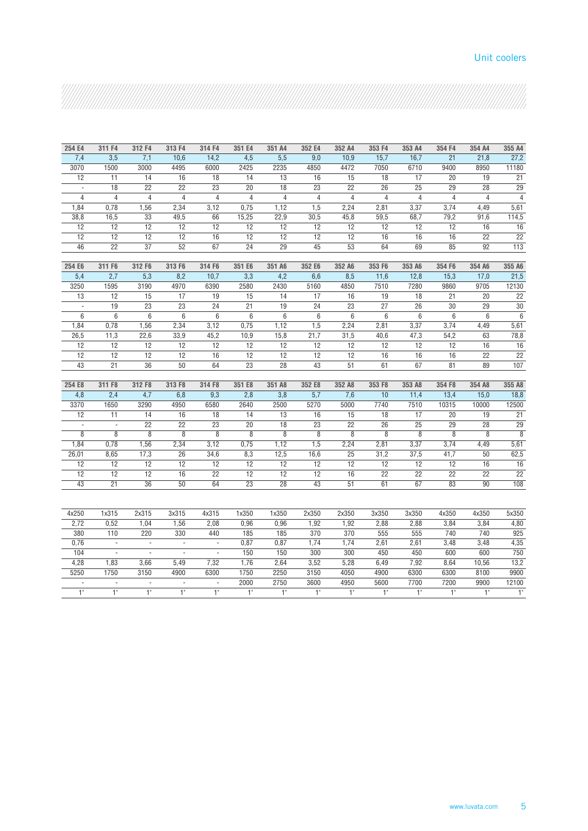## Unit coolers

| . , , , , , , , , , , , , , . |
|-------------------------------|
|                               |
|                               |
|                               |
|                               |
|                               |
|                               |
|                               |
|                               |
|                               |
|                               |
|                               |
|                               |
|                               |
|                               |

| 254 E4         | 311 F4           | 312 F4         | 313 F4         | 314 F4         | 351 E4         | 351 A4         | 352 E4         | 352 A4               | 353 F4         | 353 A4         | 354 F4            | 354 A4          | 355 A4                |
|----------------|------------------|----------------|----------------|----------------|----------------|----------------|----------------|----------------------|----------------|----------------|-------------------|-----------------|-----------------------|
| 7,4            | $\overline{3.5}$ | 7,1            | 10,6           | 14,2           | 4,5            | 5,5            | 9,0            | 10,9                 | 15,7           | 16,7           | 21                | 21,8            | 27,2                  |
| 3070           | 1500             | 3000           | 4495           | 6000           | 2425           | 2235           | 4850           | 4472                 | 7050           | 6710           | 9400              | 8950            | 11180                 |
| 12             | 11               | 14             | 16             | 18             | 14             | 13             | 16             | 15                   | 18             | 17             | 20                | 19              | 21                    |
| $\sim$         | 18               | 22             | 22             | 23             | 20             | 18             | 23             | 22                   | 26             | 25             | 29                | 28              | 29                    |
| $\overline{4}$ | $\overline{4}$   | $\overline{4}$ | $\overline{4}$ | $\overline{4}$ | $\overline{4}$ | $\overline{4}$ | $\overline{4}$ | $\overline{4}$       | $\overline{4}$ | $\overline{4}$ | $\overline{4}$    | $\overline{4}$  | $\overline{4}$        |
| 1,84           | 0,78             | 1,56           | 2,34           | 3,12           | 0,75           | 1,12           | 1,5            | 2,24                 | 2,81           | 3,37           | 3,74              | 4,49            | 5,61                  |
| 38,8           | 16,5             | 33             | 49,5           | 66             | 15,25          | 22.9           | 30,5           | 45,8                 | 59,5           | 68,7           | 79,2              | 91,6            | 114,5                 |
| 12             | 12               | 12             | 12             | 12             | 12             | 12             | 12             | 12                   | 12             | 12             | 12                | 16              | 16                    |
| 12             | 12               | 12             | 12             | 16             | 12             | 12             | 12             | 12                   | 16             | 16             | 16                | 22              | 22                    |
| 46             | $\overline{22}$  | 37             | 52             | 67             | 24             | 29             | 45             | 53                   | 64             | 69             | 85                | 92              | 113                   |
|                |                  |                |                |                |                |                |                |                      |                |                |                   |                 |                       |
| 254 E6         | 311 F6           | 312 F6         | 313 F6         | 314 F6         | 351 E6         | 351 A6         | 352 E6         | 352 A6               | 353 F6         | 353 A6         | 354 F6            | 354 A6          | 355 A6                |
| 5,4            | 2,7              | 5,3            | 8,2            | 10,7           | 3,3            | 4,2            | 6,6            | 8,5                  | 11,6           | 12,8           | 15,3              | 17,0            | 21,5                  |
| 3250           | 1595             | 3190           | 4970           | 6390           | 2580           | 2430           | 5160           | 4850                 | 7510           | 7280           | 9860              | 9705            | 12130                 |
| 13             | 12               | 15             | 17             | 19             | 15             | 14             | 17             | 16                   | 19             | 18             | 21                | 20              | 22                    |
| $\sim$         | 19               | 23             | 23             | 24             | 21             | 19             | 24             | 23                   | 27             | 26             | 30                | 29              | 30                    |
| 6              | 6                | 6              | 6              | 6              | 6              | 6              | 6              | 6                    | 6              | 6              | 6                 | 6               | $6\overline{6}$       |
| 1,84           | 0,78             | 1,56           | 2,34           | 3,12           | 0,75           | 1,12           | 1,5            | 2,24                 | 2,81           | 3,37           | 3,74              | 4,49            | 5,61                  |
| 26,5           | 11,3             | 22,6           | 33,9           | 45,2           | 10,9           | 15,8           | 21,7           | 31,5                 | 40,6           | 47,3           | 54,2              | 63              | 78,8                  |
| 12             | 12               | 12             | 12             | 12             | 12             | 12             | 12             | 12                   | 12             | 12             | 12                | 16              | 16                    |
| 12             | 12               | 12             | 12             | 16             | 12             | 12             | 12             | 12                   | 16             | 16             | 16                | 22              | 22                    |
| 43             | 21               | 36             | 50             | 64             | 23             | 28             | 43             | 51                   | 61             | 67             | 81                | 89              | 107                   |
|                |                  |                |                |                |                |                |                |                      |                |                |                   |                 |                       |
| 254 E8         | 311 F8           | 312 F8         | 313 F8         | 314 F8         | 351 E8         | 351 A8         | 352 E8         | 352 A8               | 353 F8         | 353 A8         | 354 F8            | 354 A8          | 355 A8                |
| 4,8            | 2,4              | 4,7            | 6,8            | 9,3            | 2,8            | 3,8            | 5,7            | 7,6                  | 10             | 11,4           | 13,4              | 15,0            | 18,8                  |
| 3370           | 1650             | 3290           | 4950           | 6580           | 2640           | 2500           | 5270           | 5000                 | 7740           | 7510           | 10315             | 10000           | 12500                 |
| 12             | 11               | 14<br>22       | 16<br>22       | 18<br>23       | 14<br>20       | 13             | 16<br>23       | 15                   | 18<br>26       | 17<br>25       | 20<br>29          | 19<br>28        | 21<br>$\overline{29}$ |
| $\sim$<br>8    | $\sim$<br>8      | 8              | 8              | $\overline{8}$ | $\overline{8}$ | 18<br>8        | 8              | 22<br>$\overline{8}$ | 8              | $\overline{8}$ | 8                 | 8               | $\overline{8}$        |
| 1,84           | 0,78             | 1,56           | 2,34           | 3,12           | 0,75           | 1,12           | 1,5            | 2,24                 | 2,81           | 3,37           | 3,74              | 4,49            | 5,61                  |
| 26,01          | 8,65             | 17,3           | 26             | 34,6           | 8,3            | 12,5           | 16,6           | 25                   | 31,2           | 37,5           | 41,7              | 50              | 62,5                  |
| 12             | 12               | 12             | 12             | 12             | 12             | 12             | 12             | 12                   | 12             | 12             | 12                | 16              | 16                    |
| 12             | 12               | 12             | 16             | 22             | 12             | 12             | 12             | 16                   | 22             | 22             | 22                | 22              | $\overline{22}$       |
| 43             | 21               | 36             | 50             | 64             | 23             | 28             | 43             | 51                   | 61             | 67             | 83                | 90 <sup>°</sup> | 108                   |
|                |                  |                |                |                |                |                |                |                      |                |                |                   |                 |                       |
| 4x250          | 1x315            | 2x315          | 3x315          | 4x315          | 1x350          | 1x350          | 2x350          | 2x350                | 3x350          | 3x350          | 4x350             | 4x350           | 5x350                 |
| 2,72           | 0,52             | 1,04           | 1,56           | 2,08           | 0,96           | 0,96           | 1,92           | 1,92                 | 2,88           | 2,88           | 3,84              | 3,84            | 4,80                  |
| 380            | 110              | 220            | 330            | 440            | 185            | 185            | 370            | 370                  | 555            | 555            | 740               | 740             | 925                   |
| 0,76           | $\sim$ $-$       | $\sim$ $-$     | $\sim$         | $\sim$         | 0,87           | 0,87           | 1,74           | 1,74                 | 2,61           | 2,61           | 3,48              | 3,48            | 4,35                  |
| 104            | $\sim$           | $\sim$         | $\sim$ $-$     | $\sim$         | 150            | 150            | 300            | 300                  | 450            | 450            | 600               | 600             | 750                   |
| 4,28           | 1,83             | 3,66           | 5,49           | 7,32           | 1,76           | 2,64           | 3,52           | 5,28                 | 6,49           | 7,92           | 8,64              | 10,56           | 13,2                  |
| 5250           | 1750             | 3150           | 4900           | 6300           | 1750           | 2250           | 3150           | 4050                 | 4900           | 6300           | 6300              | 8100            | 9900                  |
| $\sim$         | $\sim$           | $\sim$         | $\sim$         | $\sim$         | 2000           | 2750           | 3600           | 4950                 | 5600           | 7700           | 7200              | 9900            | 12100                 |
| 1"             | 1"               | $1^{\circ}$    | 1"             | $1^{\circ}$    | $1^{\circ}$    | 1"             | $1^{\circ}$    | $1^{\circ}$          | 1"             | 1"             | $-1$ <sup>*</sup> | 1"              | 1"                    |
|                |                  |                |                |                |                |                |                |                      |                |                |                   |                 |                       |